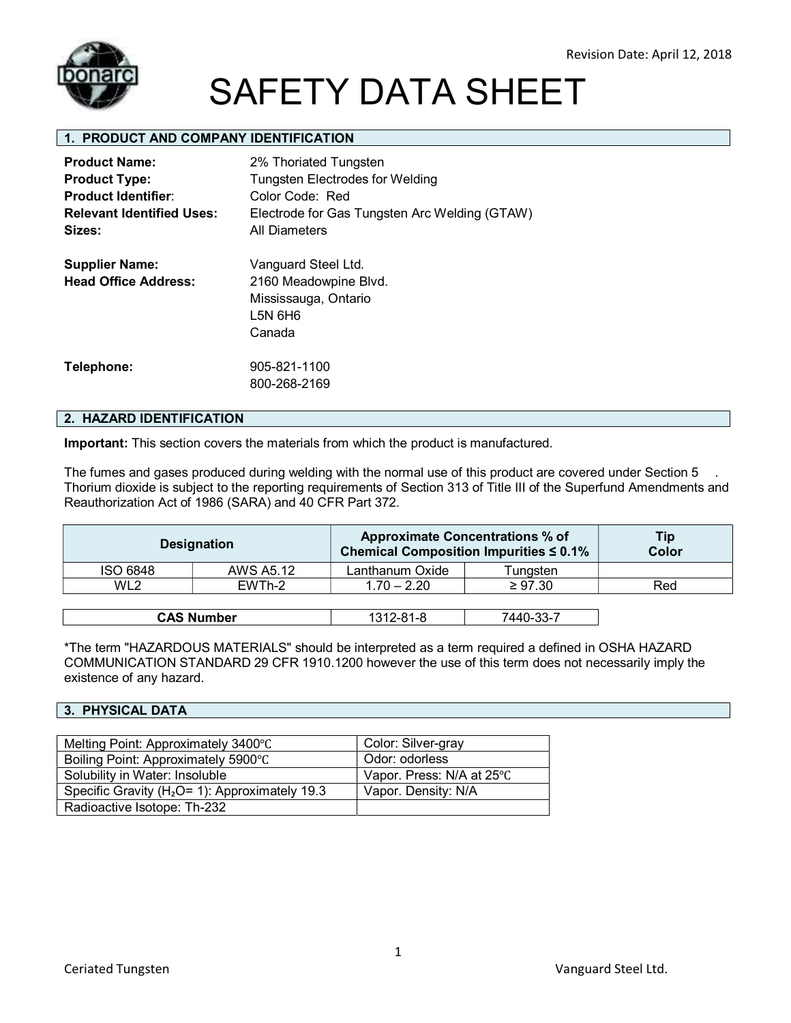

### **1. PRODUCT AND COMPANY IDENTIFICATION**

| <b>Product Name:</b><br><b>Product Type:</b><br><b>Product Identifier:</b><br><b>Relevant Identified Uses:</b><br>Sizes: | 2% Thoriated Tungsten<br><b>Tungsten Electrodes for Welding</b><br>Color Code: Red<br>Electrode for Gas Tungsten Arc Welding (GTAW)<br><b>All Diameters</b> |
|--------------------------------------------------------------------------------------------------------------------------|-------------------------------------------------------------------------------------------------------------------------------------------------------------|
| <b>Supplier Name:</b><br><b>Head Office Address:</b>                                                                     | Vanguard Steel Ltd.<br>2160 Meadowpine Blvd.<br>Mississauga, Ontario<br>L5N 6H6<br>Canada                                                                   |
| Telephone:                                                                                                               | 905-821-1100<br>800-268-2169                                                                                                                                |

#### **2. HAZARD IDENTIFICATION**

**Important:** This section covers the materials from which the product is manufactured.

The fumes and gases produced during welding with the normal use of this product are covered under Section 5 Thorium dioxide is subject to the reporting requirements of Section 313 of Title III of the Superfund Amendments and Reauthorization Act of 1986 (SARA) and 40 CFR Part 372.

|                 | <b>Designation</b> | <b>Approximate Concentrations % of</b><br>Chemical Composition Impurities $\leq 0.1\%$ |              | Tip<br>Color |
|-----------------|--------------------|----------------------------------------------------------------------------------------|--------------|--------------|
| <b>ISO 6848</b> | AWS A5.12          | Lanthanum Oxide                                                                        | Tungsten     |              |
| WL <sub>2</sub> | EWTh-2             | $1.70 - 2.20$                                                                          | $\geq 97.30$ | Red          |
|                 |                    |                                                                                        |              |              |
|                 | <b>CAS Number</b>  | 1312-81-8                                                                              | 7440-33-7    |              |

\*The term "HAZARDOUS MATERIALS" should be interpreted as a term required a defined in OSHA HAZARD COMMUNICATION STANDARD 29 CFR 1910.1200 however the use of this term does not necessarily imply the existence of any hazard.

#### **3. PHYSICAL DATA**

| Melting Point: Approximately 3400°C                 | Color: Silver-gray        |  |
|-----------------------------------------------------|---------------------------|--|
| Boiling Point: Approximately 5900°C                 | Odor: odorless            |  |
| Solubility in Water: Insoluble                      | Vapor. Press: N/A at 25°C |  |
| Specific Gravity ( $H_2O = 1$ ): Approximately 19.3 | Vapor. Density: N/A       |  |
| Radioactive Isotope: Th-232                         |                           |  |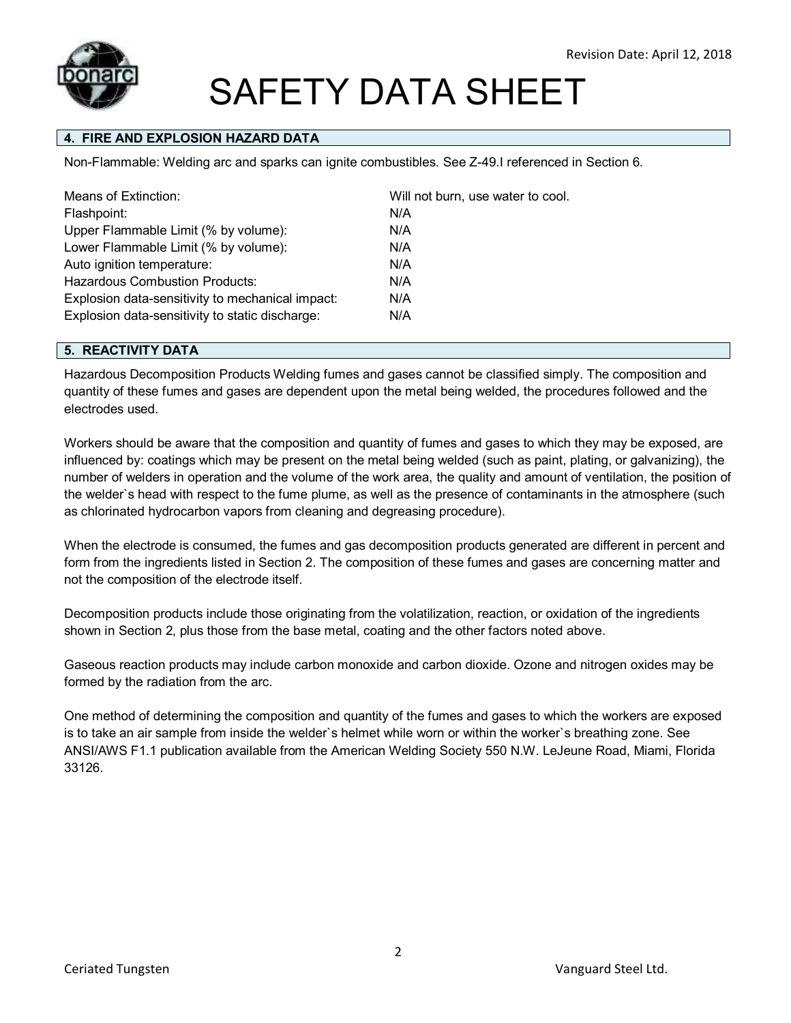

## **4. FIRE AND EXPLOSION HAZARD DATA**

Non-Flammable: Welding arc and sparks can ignite combustibles. See Z-49.I referenced in Section 6.

| Means of Extinction:                             | Will not burn, use water to cool. |
|--------------------------------------------------|-----------------------------------|
| Flashpoint:                                      | N/A                               |
| Upper Flammable Limit (% by volume):             | N/A                               |
| Lower Flammable Limit (% by volume):             | N/A                               |
| Auto ignition temperature:                       | N/A                               |
| <b>Hazardous Combustion Products:</b>            | N/A                               |
| Explosion data-sensitivity to mechanical impact: | N/A                               |
| Explosion data-sensitivity to static discharge:  | N/A                               |

#### **5. REACTIVITY DATA**

Hazardous Decomposition Products Welding fumes and gases cannot be classified simply. The composition and quantity of these fumes and gases are dependent upon the metal being welded, the procedures followed and the electrodes used.

Workers should be aware that the composition and quantity of fumes and gases to which they may be exposed, are influenced by: coatings which may be present on the metal being welded (such as paint, plating, or galvanizing), the number of welders in operation and the volume of the work area, the quality and amount of ventilation, the position of the welder`s head with respect to the fume plume, as well as the presence of contaminants in the atmosphere (such as chlorinated hydrocarbon vapors from cleaning and degreasing procedure).

When the electrode is consumed, the fumes and gas decomposition products generated are different in percent and form from the ingredients listed in Section 2. The composition of these fumes and gases are concerning matter and not the composition of the electrode itself.

Decomposition products include those originating from the volatilization, reaction, or oxidation of the ingredients shown in Section 2, plus those from the base metal, coating and the other factors noted above.

Gaseous reaction products may include carbon monoxide and carbon dioxide. Ozone and nitrogen oxides may be formed by the radiation from the arc.

One method of determining the composition and quantity of the fumes and gases to which the workers are exposed is to take an air sample from inside the welder`s helmet while worn or within the worker`s breathing zone. See ANSI/AWS F1.1 publication available from the American Welding Society 550 N.W. LeJeune Road, Miami, Florida 33126.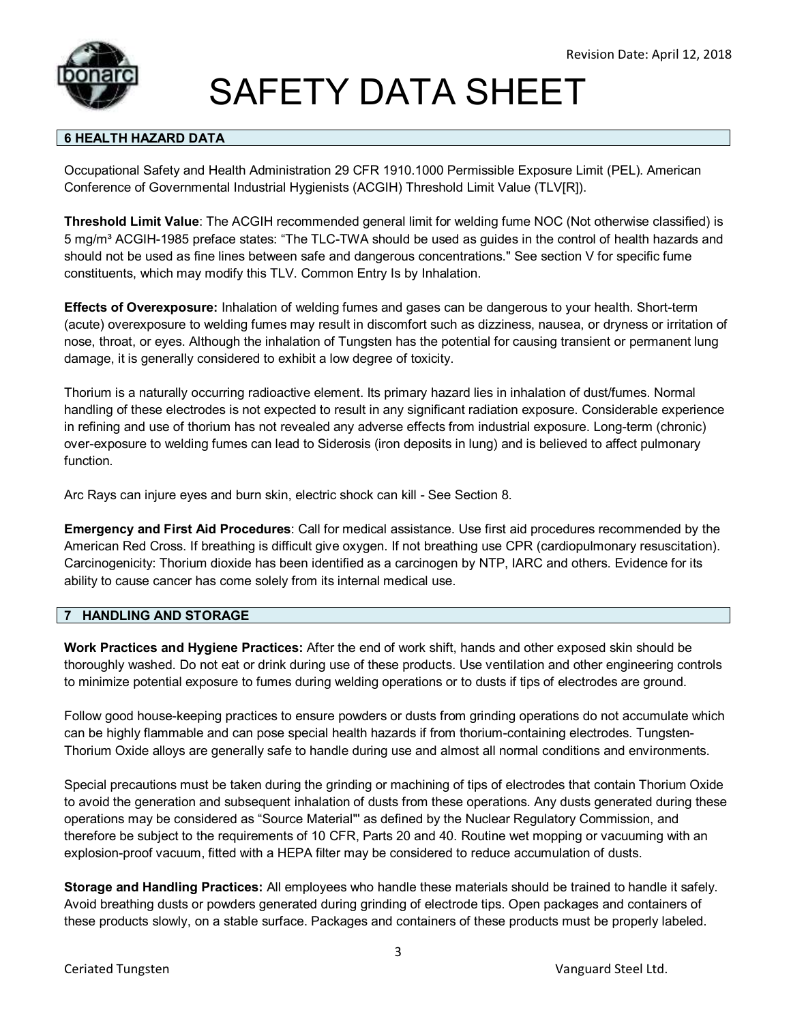

### **6 HEALTH HAZARD DATA**

Occupational Safety and Health Administration 29 CFR 1910.1000 Permissible Exposure Limit (PEL). American Conference of Governmental Industrial Hygienists (ACGIH) Threshold Limit Value (TLV[R]).

**Threshold Limit Value**: The ACGIH recommended general limit for welding fume NOC (Not otherwise classified) is 5 mg/m³ ACGIH-1985 preface states: "The TLC-TWA should be used as guides in the control of health hazards and should not be used as fine lines between safe and dangerous concentrations." See section V for specific fume constituents, which may modify this TLV. Common Entry Is by Inhalation.

**Effects of Overexposure:** Inhalation of welding fumes and gases can be dangerous to your health. Short-term (acute) overexposure to welding fumes may result in discomfort such as dizziness, nausea, or dryness or irritation of nose, throat, or eyes. Although the inhalation of Tungsten has the potential for causing transient or permanent lung damage, it is generally considered to exhibit a low degree of toxicity.

Thorium is a naturally occurring radioactive element. Its primary hazard lies in inhalation of dust/fumes. Normal handling of these electrodes is not expected to result in any significant radiation exposure. Considerable experience in refining and use of thorium has not revealed any adverse effects from industrial exposure. Long-term (chronic) over-exposure to welding fumes can lead to Siderosis (iron deposits in lung) and is believed to affect pulmonary function.

Arc Rays can injure eyes and burn skin, electric shock can kill - See Section 8.

**Emergency and First Aid Procedures**: Call for medical assistance. Use first aid procedures recommended by the American Red Cross. If breathing is difficult give oxygen. If not breathing use CPR (cardiopulmonary resuscitation). Carcinogenicity: Thorium dioxide has been identified as a carcinogen by NTP, IARC and others. Evidence for its ability to cause cancer has come solely from its internal medical use.

#### **7 HANDLING AND STORAGE**

**Work Practices and Hygiene Practices:** After the end of work shift, hands and other exposed skin should be thoroughly washed. Do not eat or drink during use of these products. Use ventilation and other engineering controls to minimize potential exposure to fumes during welding operations or to dusts if tips of electrodes are ground.

Follow good house-keeping practices to ensure powders or dusts from grinding operations do not accumulate which can be highly flammable and can pose special health hazards if from thorium-containing electrodes. Tungsten-Thorium Oxide alloys are generally safe to handle during use and almost all normal conditions and environments.

Special precautions must be taken during the grinding or machining of tips of electrodes that contain Thorium Oxide to avoid the generation and subsequent inhalation of dusts from these operations. Any dusts generated during these operations may be considered as "Source Material"' as defined by the Nuclear Regulatory Commission, and therefore be subject to the requirements of 10 CFR, Parts 20 and 40. Routine wet mopping or vacuuming with an explosion-proof vacuum, fitted with a HEPA filter may be considered to reduce accumulation of dusts.

**Storage and Handling Practices:** All employees who handle these materials should be trained to handle it safely. Avoid breathing dusts or powders generated during grinding of electrode tips. Open packages and containers of these products slowly, on a stable surface. Packages and containers of these products must be properly labeled.